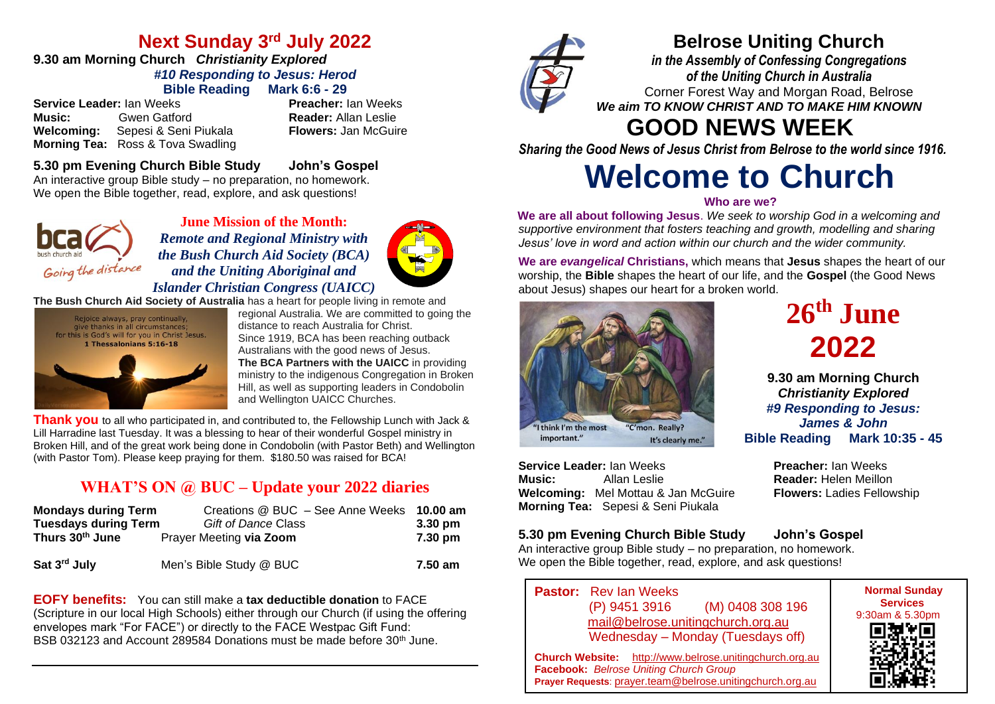## **Next Sunday 3 rd July 2022**

#### **9.30 am Morning Church** *Christianity Explored #10 Responding to Jesus: Herod* **Bible Reading Mark 6:6 - 29**

**Service Leader:** Ian Weeks **Preacher:** Ian Weeks **Music:** Gwen Gatford **Reader:** Allan Leslie<br> **Welcoming:** Sepesi & Seni Piukala **Reader:** Allan McGuire **Welcoming:** Sepesi & Seni Piukala **Morning Tea:** Ross & Tova Swadling

#### **5.30 pm Evening Church Bible Study John's Gospel** An interactive group Bible study – no preparation, no homework. We open the Bible together, read, explore, and ask questions!



**June Mission of the Month:** *Remote and Regional Ministry with the Bush Church Aid Society (BCA) and the Uniting Aboriginal and Islander Christian Congress (UAICC)* 



**The Bush Church Aid Society of Australia** has a heart for people living in remote and



regional Australia. We are committed to going the distance to reach Australia for Christ. Since 1919, BCA has been reaching outback Australians with the good news of Jesus. **The BCA Partners with the UAICC** in providing ministry to the indigenous Congregation in Broken Hill, as well as supporting leaders in Condobolin and Wellington UAICC Churches.

**Thank you** to all who participated in, and contributed to, the Fellowship Lunch with Jack & Lill Harradine last Tuesday. It was a blessing to hear of their wonderful Gospel ministry in Broken Hill, and of the great work being done in Condobolin (with Pastor Beth) and Wellington (with Pastor Tom). Please keep praying for them. \$180.50 was raised for BCA!

## **WHAT'S ON @ BUC – Update your 2022 diaries**

| <b>Mondays during Term</b>  | Creations @ BUC - See Anne Weeks 10.00 am |                   |
|-----------------------------|-------------------------------------------|-------------------|
| <b>Tuesdays during Term</b> | Gift of Dance Class                       | $3.30 \text{ pm}$ |
| Thurs 30th June             | Prayer Meeting via Zoom                   | 7.30 pm           |
| Sat 3 <sup>rd</sup> July    | Men's Bible Study @ BUC                   | 7.50 am           |

**EOFY benefits:** You can still make a **tax deductible donation** to FACE (Scripture in our local High Schools) either through our Church (if using the offering envelopes mark "For FACE") or directly to the FACE Westpac Gift Fund: BSB 032123 and Account 289584 Donations must be made before 30th June.



## **Belrose Uniting Church**

*in the Assembly of Confessing Congregations of the Uniting Church in Australia* Corner Forest Way and Morgan Road, Belrose *We aim TO KNOW CHRIST AND TO MAKE HIM KNOWN*

## **GOOD NEWS WEEK**

*Sharing the Good News of Jesus Christ from Belrose to the world since 1916.*

# **Welcome to Church**

#### **Who are we?**

**We are all about following Jesus**. *We seek to worship God in a welcoming and supportive environment that fosters teaching and growth, modelling and sharing Jesus' love in word and action within our church and the wider community.*

**We are** *evangelical* **Christians,** which means that **Jesus** shapes the heart of our worship, the **Bible** shapes the heart of our life, and the **Gospel** (the Good News about Jesus) shapes our heart for a broken world.



**Service Leader:** Ian Weeks **Preacher:** Ian Weeks **Music:** Allan Leslie **Reader:** Helen Meillon **Welcoming:** Mel Mottau & Jan McGuire **Flowers:** Ladies Fellowship **Morning Tea:** Sepesi & Seni Piukala

**26th June 2022**

**9.30 am Morning Church** *Christianity Explored #9 Responding to Jesus: James & John* **Bible Reading Mark 10:35 - 45**

#### **5.30 pm Evening Church Bible Study John's Gospel**

An interactive group Bible study – no preparation, no homework. We open the Bible together, read, explore, and ask questions!

**Pastor:** Rev Ian Weeks (P) 9451 3916 (M) 0408 308 196 [mail@belrose.unitingchurch.org.au](mailto:mail@belrose.unitingchurch.org.au) Wednesday – Monday (Tuesdays off)

9:30am & 5.30pm

**Normal Sunday Services**

**Church Website:** [http://www.belrose.unitingchurch.org.au](http://www.belrose.unitingchurch.org.au/) **Facebook:** *Belrose Uniting Church Group* **Prayer Requests**: [prayer.team@belrose.unitingchurch.org.au](mailto:prayer.team@belrose.unitingchurch.org.au)